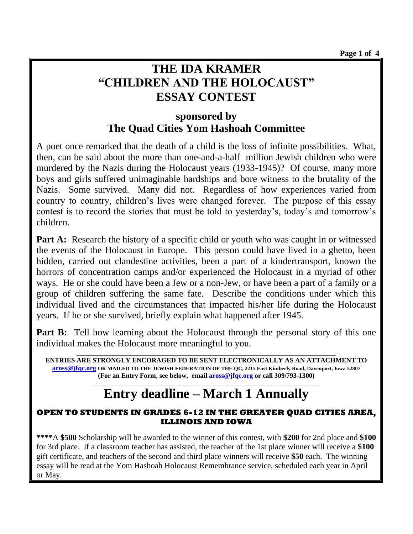## **THE IDA KRAMER "CHILDREN AND THE HOLOCAUST" ESSAY CONTEST**

## **sponsored by The Quad Cities Yom Hashoah Committee**

A poet once remarked that the death of a child is the loss of infinite possibilities. What, then, can be said about the more than one-and-a-half million Jewish children who were murdered by the Nazis during the Holocaust years (1933-1945)? Of course, many more boys and girls suffered unimaginable hardships and bore witness to the brutality of the Nazis. Some survived. Many did not. Regardless of how experiences varied from country to country, children's lives were changed forever. The purpose of this essay contest is to record the stories that must be told to yesterday's, today's and tomorrow's children.

**Part A:** Research the history of a specific child or youth who was caught in or witnessed the events of the Holocaust in Europe. This person could have lived in a ghetto, been hidden, carried out clandestine activities, been a part of a kindertransport, known the horrors of concentration camps and/or experienced the Holocaust in a myriad of other ways. He or she could have been a Jew or a non-Jew, or have been a part of a family or a group of children suffering the same fate. Describe the conditions under which this individual lived and the circumstances that impacted his/her life during the Holocaust years. If he or she survived, briefly explain what happened after 1945.

**Part B:** Tell how learning about the Holocaust through the personal story of this one individual makes the Holocaust more meaningful to you.

**ENTRIES ARE STRONGLY ENCORAGED TO BE SENT ELECTRONICALLY AS AN ATTACHMENT TO [aross@jfqc.org](mailto:aross@jfqc.org) OR MAILED TO THE JEWISH FEDERATION OF THE QC, 2215 East Kimberly Road, Davenport, Iowa 52807 (For an Entry Form, see below, email [aross@jfqc.org](mailto:aross@jfqc.org) or call 309/793-1300) \_\_\_\_\_\_\_\_\_\_\_\_\_\_\_\_\_\_\_\_\_\_\_\_\_\_\_\_\_\_\_\_\_\_\_\_\_\_\_\_\_\_\_\_\_\_\_\_\_\_\_\_\_\_\_\_\_\_\_\_\_\_\_\_\_\_\_\_\_\_\_\_\_\_\_\_\_\_\_\_\_\_\_\_**

**\_\_\_\_\_\_\_\_\_\_\_\_\_\_\_\_\_\_\_\_\_\_\_\_\_\_\_\_\_\_\_\_\_\_\_\_\_\_\_\_\_\_\_\_\_\_\_\_\_\_\_\_\_\_\_\_\_\_\_\_\_\_\_\_\_\_\_\_\_\_\_\_\_\_\_\_\_**

# **Entry deadline – March 1 Annually**

#### **OPEN TO STUDENTS IN GRADES 6-12 IN THE GREATER QUAD CITIES AREA, ILLINOIS AND IOWA**

**\*\*\*\***A **\$500** Scholarship will be awarded to the winner of this contest, with **\$200** for 2nd place and **\$100** for 3rd place. If a classroom teacher has assisted, the teacher of the 1st place winner will receive a **\$100** gift certificate, and teachers of the second and third place winners will receive **\$50** each. The winning essay will be read at the Yom Hashoah Holocaust Remembrance service, scheduled each year in April or May.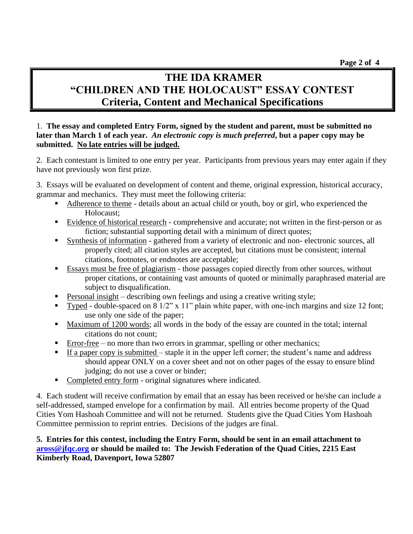## **THE IDA KRAMER "CHILDREN AND THE HOLOCAUST" ESSAY CONTEST Criteria, Content and Mechanical Specifications**

#### 1. **The essay and completed Entry Form, signed by the student and parent, must be submitted no later than March 1 of each year.** *An electronic copy is much preferred***, but a paper copy may be submitted. No late entries will be judged.**

2. Each contestant is limited to one entry per year. Participants from previous years may enter again if they have not previously won first prize.

3. Essays will be evaluated on development of content and theme, original expression, historical accuracy, grammar and mechanics. They must meet the following criteria:

- Adherence to theme details about an actual child or youth, boy or girl, who experienced the Holocaust;
- Evidence of historical research comprehensive and accurate; not written in the first-person or as fiction; substantial supporting detail with a minimum of direct quotes;
- Synthesis of information gathered from a variety of electronic and non- electronic sources, all properly cited; all citation styles are accepted, but citations must be consistent; internal citations, footnotes, or endnotes are acceptable;
- Essays must be free of plagiarism those passages copied directly from other sources, without proper citations, or containing vast amounts of quoted or minimally paraphrased material are subject to disqualification.
- Personal insight describing own feelings and using a creative writing style;
- Typed double-spaced on 8 1/2" x 11" plain white paper, with one-inch margins and size 12 font; use only one side of the paper;
- Maximum of 1200 words; all words in the body of the essay are counted in the total; internal citations do not count;
- $Error-free no more than two errors in grammar, spelling or other mechanics;$
- **If a paper copy is submitted staple it in the upper left corner; the student's name and address** should appear ONLY on a cover sheet and not on other pages of the essay to ensure blind judging; do not use a cover or binder;
- Completed entry form original signatures where indicated.

4. Each student will receive confirmation by email that an essay has been received or he/she can include a self-addressed, stamped envelope for a confirmation by mail. All entries become property of the Quad Cities Yom Hashoah Committee and will not be returned. Students give the Quad Cities Yom Hashoah Committee permission to reprint entries. Decisions of the judges are final.

#### **5. Entries for this contest, including the Entry Form, should be sent in an email attachment to [aross@jfqc.org](mailto:aross@jfqc.org) or should be mailed to: The Jewish Federation of the Quad Cities, 2215 East Kimberly Road, Davenport, Iowa 52807**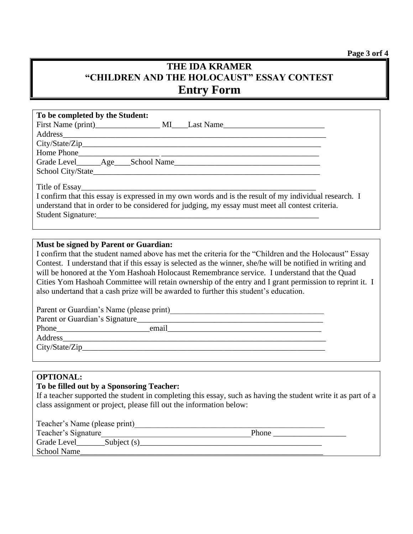**Page 3 orf 4**

### **THE IDA KRAMER "CHILDREN AND THE HOLOCAUST" ESSAY CONTEST Entry Form**

| To be completed by the Student:                                                                                                                                                                                                |                                                                                                       |
|--------------------------------------------------------------------------------------------------------------------------------------------------------------------------------------------------------------------------------|-------------------------------------------------------------------------------------------------------|
|                                                                                                                                                                                                                                |                                                                                                       |
| Address and the contract of the contract of the contract of the contract of the contract of the contract of the contract of the contract of the contract of the contract of the contract of the contract of the contract of th |                                                                                                       |
|                                                                                                                                                                                                                                |                                                                                                       |
|                                                                                                                                                                                                                                |                                                                                                       |
|                                                                                                                                                                                                                                |                                                                                                       |
|                                                                                                                                                                                                                                |                                                                                                       |
|                                                                                                                                                                                                                                |                                                                                                       |
|                                                                                                                                                                                                                                | I confirm that this essay is expressed in my own words and is the result of my individual research. I |
|                                                                                                                                                                                                                                | understand that in order to be considered for judging, my essay must meet all contest criteria.       |
|                                                                                                                                                                                                                                |                                                                                                       |
| Student Signature: Executive Student Signature:                                                                                                                                                                                |                                                                                                       |

#### **Must be signed by Parent or Guardian:**

I confirm that the student named above has met the criteria for the "Children and the Holocaust" Essay Contest. I understand that if this essay is selected as the winner, she/he will be notified in writing and will be honored at the Yom Hashoah Holocaust Remembrance service. I understand that the Quad Cities Yom Hashoah Committee will retain ownership of the entry and I grant permission to reprint it. I also undertand that a cash prize will be awarded to further this student's education.

| Parent or Guardian's Name (please print) |       |  |  |  |
|------------------------------------------|-------|--|--|--|
| Parent or Guardian's Signature           |       |  |  |  |
|                                          | email |  |  |  |
| Address                                  |       |  |  |  |
| City/State/Zip                           |       |  |  |  |
|                                          |       |  |  |  |

#### **OPTIONAL:**

#### **To be filled out by a Sponsoring Teacher:**

If a teacher supported the student in completing this essay, such as having the student write it as part of a class assignment or project, please fill out the information below:

| Teacher's Name (please print) |       |
|-------------------------------|-------|
| Teacher's Signature           | Phone |

| Grade Level        | Subject (s) |
|--------------------|-------------|
| <b>School Name</b> |             |